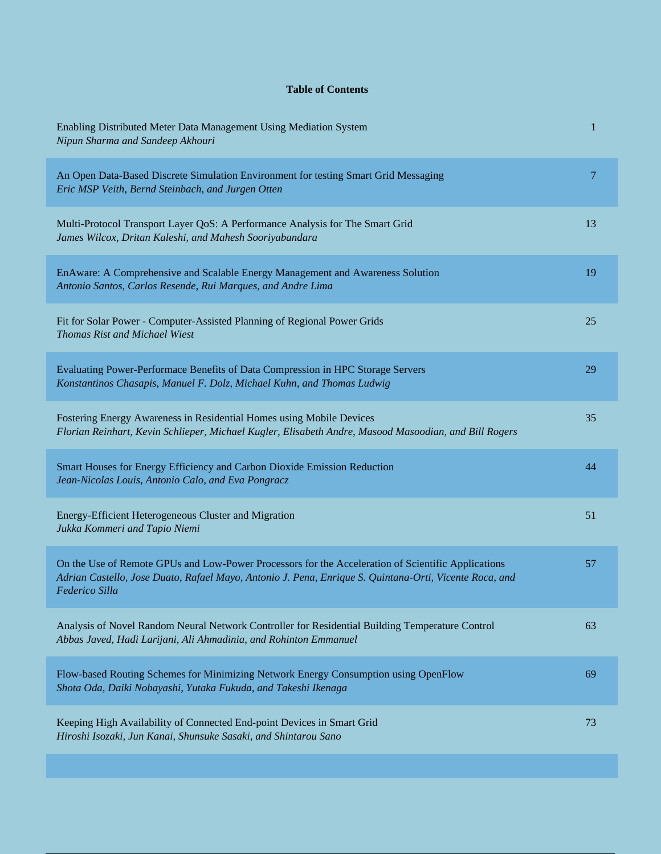## **Table of Contents**

| Enabling Distributed Meter Data Management Using Mediation System<br>Nipun Sharma and Sandeep Akhouri                                                                                                                          | $\mathbf 1$ |
|--------------------------------------------------------------------------------------------------------------------------------------------------------------------------------------------------------------------------------|-------------|
| An Open Data-Based Discrete Simulation Environment for testing Smart Grid Messaging<br>Eric MSP Veith, Bernd Steinbach, and Jurgen Otten                                                                                       | 7           |
| Multi-Protocol Transport Layer QoS: A Performance Analysis for The Smart Grid<br>James Wilcox, Dritan Kaleshi, and Mahesh Sooriyabandara                                                                                       | 13          |
| EnAware: A Comprehensive and Scalable Energy Management and Awareness Solution<br>Antonio Santos, Carlos Resende, Rui Marques, and Andre Lima                                                                                  | 19          |
| Fit for Solar Power - Computer-Assisted Planning of Regional Power Grids<br>Thomas Rist and Michael Wiest                                                                                                                      | 25          |
| Evaluating Power-Performace Benefits of Data Compression in HPC Storage Servers<br>Konstantinos Chasapis, Manuel F. Dolz, Michael Kuhn, and Thomas Ludwig                                                                      | 29          |
| Fostering Energy Awareness in Residential Homes using Mobile Devices<br>Florian Reinhart, Kevin Schlieper, Michael Kugler, Elisabeth Andre, Masood Masoodian, and Bill Rogers                                                  | 35          |
| Smart Houses for Energy Efficiency and Carbon Dioxide Emission Reduction<br>Jean-Nicolas Louis, Antonio Calo, and Eva Pongracz                                                                                                 | 44          |
| Energy-Efficient Heterogeneous Cluster and Migration<br>Jukka Kommeri and Tapio Niemi                                                                                                                                          | 51          |
| On the Use of Remote GPUs and Low-Power Processors for the Acceleration of Scientific Applications<br>Adrian Castello, Jose Duato, Rafael Mayo, Antonio J. Pena, Enrique S. Quintana-Orti, Vicente Roca, and<br>Federico Silla | 57          |
| Analysis of Novel Random Neural Network Controller for Residential Building Temperature Control<br>Abbas Javed, Hadi Larijani, Ali Ahmadinia, and Rohinton Emmanuel                                                            | 63          |
| Flow-based Routing Schemes for Minimizing Network Energy Consumption using OpenFlow<br>Shota Oda, Daiki Nobayashi, Yutaka Fukuda, and Takeshi Ikenaga                                                                          | 69          |
| Keeping High Availability of Connected End-point Devices in Smart Grid<br>Hiroshi Isozaki, Jun Kanai, Shunsuke Sasaki, and Shintarou Sano                                                                                      | 73          |